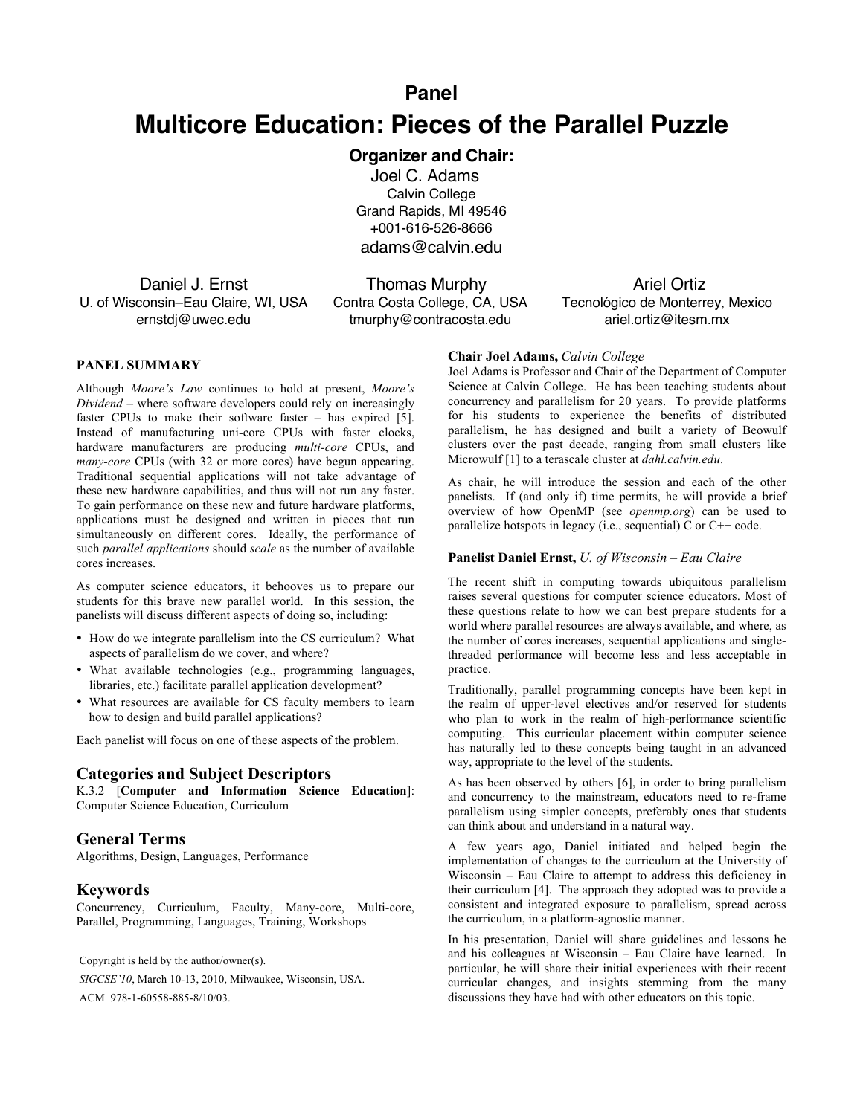# **Panel**

# **Multicore Education: Pieces of the Parallel Puzzle**

# **Organizer and Chair:**

Joel C. Adams Calvin College Grand Rapids, MI 49546 +001-616-526-8666 adams@calvin.edu

Daniel J. Ernst U. of Wisconsin–Eau Claire, WI, USA ernstdj@uwec.edu

 Thomas Murphy Contra Costa College, CA, USA tmurphy@contracosta.edu

 Ariel Ortiz Tecnológico de Monterrey, Mexico ariel.ortiz@itesm.mx

## **PANEL SUMMARY**

Although *Moore's Law* continues to hold at present, *Moore's Dividend* – where software developers could rely on increasingly faster CPUs to make their software faster – has expired [5]. Instead of manufacturing uni-core CPUs with faster clocks, hardware manufacturers are producing *multi-core* CPUs, and *many-core* CPUs (with 32 or more cores) have begun appearing. Traditional sequential applications will not take advantage of these new hardware capabilities, and thus will not run any faster. To gain performance on these new and future hardware platforms, applications must be designed and written in pieces that run simultaneously on different cores. Ideally, the performance of such *parallel applications* should *scale* as the number of available cores increases.

As computer science educators, it behooves us to prepare our students for this brave new parallel world. In this session, the panelists will discuss different aspects of doing so, including:

- How do we integrate parallelism into the CS curriculum? What aspects of parallelism do we cover, and where?
- What available technologies (e.g., programming languages, libraries, etc.) facilitate parallel application development?
- What resources are available for CS faculty members to learn how to design and build parallel applications?

Each panelist will focus on one of these aspects of the problem.

## **Categories and Subject Descriptors**

K.3.2 [**Computer and Information Science Education**]: Computer Science Education, Curriculum

## **General Terms**

Algorithms, Design, Languages, Performance

## **Keywords**

Concurrency, Curriculum, Faculty, Many-core, Multi-core, Parallel, Programming, Languages, Training, Workshops

Copyright is held by the author/owner(s).

*SIGCSE'10*, March 10-13, 2010, Milwaukee, Wisconsin, USA. ACM 978-1-60558-885-8/10/03.

#### **Chair Joel Adams,** *Calvin College*

Joel Adams is Professor and Chair of the Department of Computer Science at Calvin College. He has been teaching students about concurrency and parallelism for 20 years. To provide platforms for his students to experience the benefits of distributed parallelism, he has designed and built a variety of Beowulf clusters over the past decade, ranging from small clusters like Microwulf [1] to a terascale cluster at *dahl.calvin.edu*.

As chair, he will introduce the session and each of the other panelists. If (and only if) time permits, he will provide a brief overview of how OpenMP (see *openmp.org*) can be used to parallelize hotspots in legacy (i.e., sequential) C or C++ code.

#### **Panelist Daniel Ernst,** *U. of Wisconsin – Eau Claire*

The recent shift in computing towards ubiquitous parallelism raises several questions for computer science educators. Most of these questions relate to how we can best prepare students for a world where parallel resources are always available, and where, as the number of cores increases, sequential applications and singlethreaded performance will become less and less acceptable in practice.

Traditionally, parallel programming concepts have been kept in the realm of upper-level electives and/or reserved for students who plan to work in the realm of high-performance scientific computing. This curricular placement within computer science has naturally led to these concepts being taught in an advanced way, appropriate to the level of the students.

As has been observed by others [6], in order to bring parallelism and concurrency to the mainstream, educators need to re-frame parallelism using simpler concepts, preferably ones that students can think about and understand in a natural way.

A few years ago, Daniel initiated and helped begin the implementation of changes to the curriculum at the University of Wisconsin – Eau Claire to attempt to address this deficiency in their curriculum [4]. The approach they adopted was to provide a consistent and integrated exposure to parallelism, spread across the curriculum, in a platform-agnostic manner.

In his presentation, Daniel will share guidelines and lessons he and his colleagues at Wisconsin – Eau Claire have learned. In particular, he will share their initial experiences with their recent curricular changes, and insights stemming from the many discussions they have had with other educators on this topic.